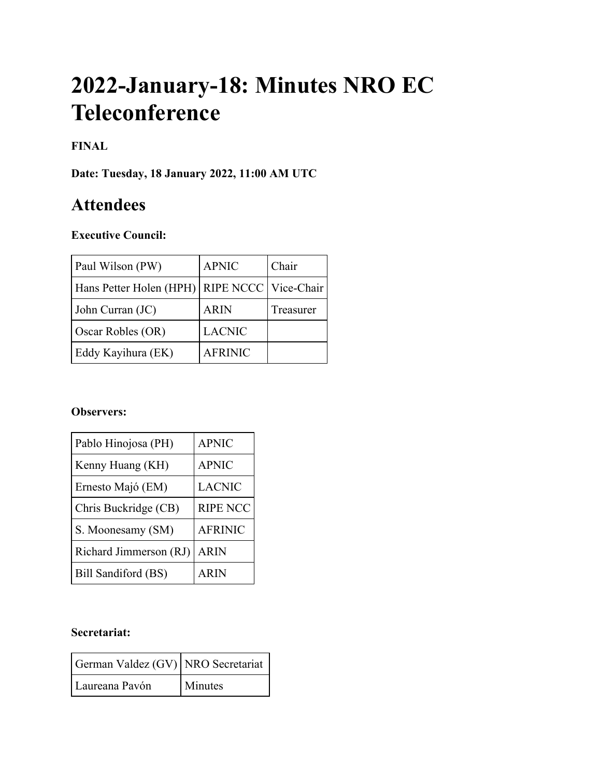# **2022-January-18: Minutes NRO EC Teleconference**

# **FINAL**

**Date: Tuesday, 18 January 2022, 11:00 AM UTC**

# **Attendees**

# **Executive Council:**

| Paul Wilson (PW)                                 | <b>APNIC</b>   | Chair     |
|--------------------------------------------------|----------------|-----------|
| Hans Petter Holen (HPH)   RIPE NCCC   Vice-Chair |                |           |
| John Curran (JC)                                 | <b>ARIN</b>    | Treasurer |
| Oscar Robles (OR)                                | <b>LACNIC</b>  |           |
| Eddy Kayihura (EK)                               | <b>AFRINIC</b> |           |

#### **Observers:**

| Pablo Hinojosa (PH)    | <b>APNIC</b>    |
|------------------------|-----------------|
| Kenny Huang (KH)       | <b>APNIC</b>    |
| Ernesto Majó (EM)      | <b>LACNIC</b>   |
| Chris Buckridge (CB)   | <b>RIPE NCC</b> |
| S. Moonesamy (SM)      | <b>AFRINIC</b>  |
| Richard Jimmerson (RJ) | <b>ARIN</b>     |
| Bill Sandiford (BS)    | <b>ARIN</b>     |

#### **Secretariat:**

| German Valdez (GV) NRO Secretariat |                |
|------------------------------------|----------------|
| l Laureana Pavón                   | <b>Minutes</b> |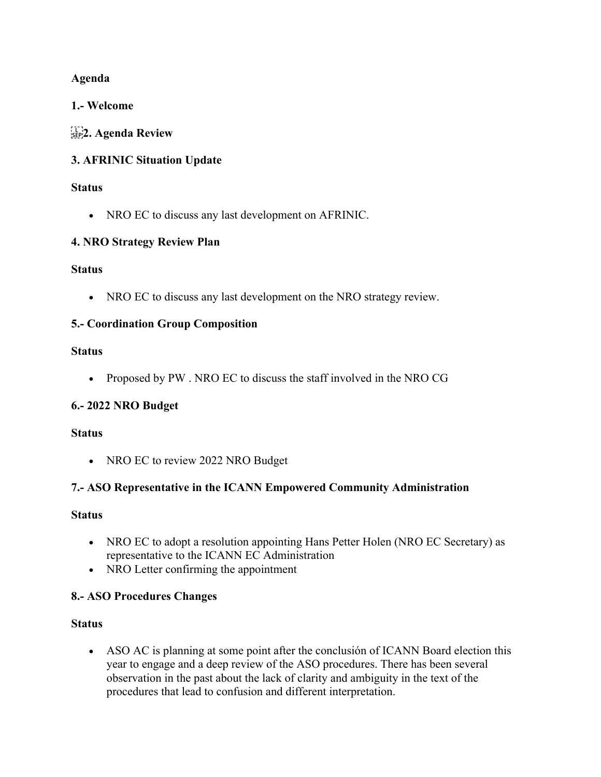#### **Agenda**

#### **1.- Welcome**

# **2. Agenda Review**

# **3. AFRINIC Situation Update**

#### **Status**

• NRO EC to discuss any last development on AFRINIC.

# **4. NRO Strategy Review Plan**

#### **Status**

• NRO EC to discuss any last development on the NRO strategy review.

#### **5.- Coordination Group Composition**

#### **Status**

• Proposed by PW. NRO EC to discuss the staff involved in the NRO CG

# **6.- 2022 NRO Budget**

#### **Status**

• NRO EC to review 2022 NRO Budget

# **7.- ASO Representative in the ICANN Empowered Community Administration**

#### **Status**

- NRO EC to adopt a resolution appointing Hans Petter Holen (NRO EC Secretary) as representative to the ICANN EC Administration
- NRO Letter confirming the appointment

# **8.- ASO Procedures Changes**

#### **Status**

• ASO AC is planning at some point after the conclusión of ICANN Board election this year to engage and a deep review of the ASO procedures. There has been several observation in the past about the lack of clarity and ambiguity in the text of the procedures that lead to confusion and different interpretation.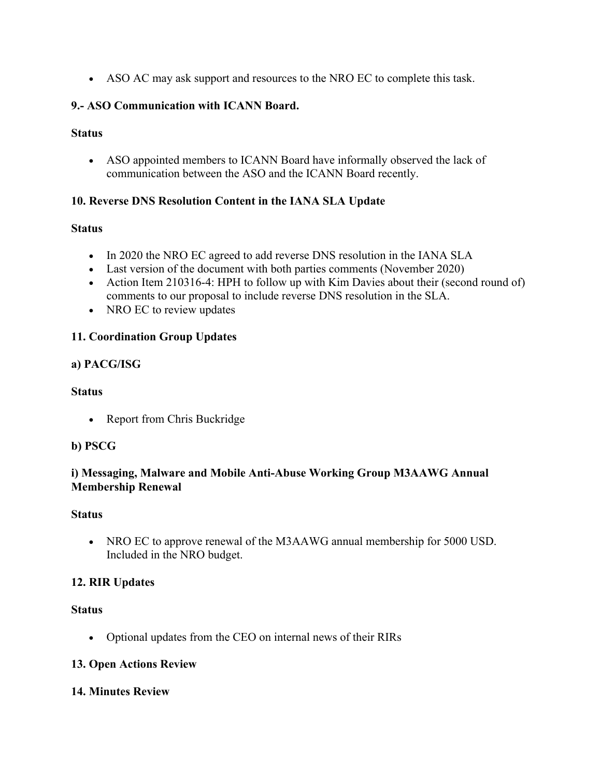• ASO AC may ask support and resources to the NRO EC to complete this task.

#### **9.- ASO Communication with ICANN Board.**

#### **Status**

• ASO appointed members to ICANN Board have informally observed the lack of communication between the ASO and the ICANN Board recently.

#### **10. Reverse DNS Resolution Content in the IANA SLA Update**

#### **Status**

- In 2020 the NRO EC agreed to add reverse DNS resolution in the IANA SLA
- Last version of the document with both parties comments (November 2020)
- Action Item 210316-4: HPH to follow up with Kim Davies about their (second round of) comments to our proposal to include reverse DNS resolution in the SLA.
- NRO EC to review updates

# **11. Coordination Group Updates**

#### **a) PACG/ISG**

#### **Status**

• Report from Chris Buckridge

#### **b) PSCG**

#### **i) Messaging, Malware and Mobile Anti-Abuse Working Group M3AAWG Annual Membership Renewal**

#### **Status**

• NRO EC to approve renewal of the M3AAWG annual membership for 5000 USD. Included in the NRO budget.

# **12. RIR Updates**

#### **Status**

• Optional updates from the CEO on internal news of their RIRs

#### **13. Open Actions Review**

#### **14. Minutes Review**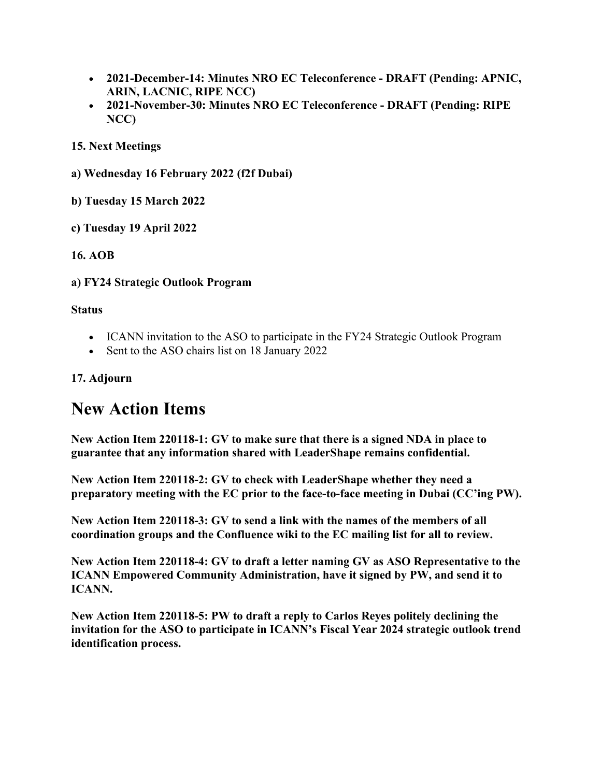- **2021-December-14: Minutes NRO EC Teleconference - DRAFT (Pending: APNIC, ARIN, LACNIC, RIPE NCC)**
- **2021-November-30: Minutes NRO EC Teleconference - DRAFT (Pending: RIPE NCC)**

**15. Next Meetings**

- **a) Wednesday 16 February 2022 (f2f Dubai)**
- **b) Tuesday 15 March 2022**
- **c) Tuesday 19 April 2022**

#### **16. AOB**

**a) FY24 Strategic Outlook Program**

#### **Status**

- ICANN invitation to the ASO to participate in the FY24 Strategic Outlook Program
- Sent to the ASO chairs list on 18 January 2022

#### **17. Adjourn**

# **New Action Items**

**New Action Item 220118-1: GV to make sure that there is a signed NDA in place to guarantee that any information shared with LeaderShape remains confidential.**

**New Action Item 220118-2: GV to check with LeaderShape whether they need a preparatory meeting with the EC prior to the face-to-face meeting in Dubai (CC'ing PW).**

**New Action Item 220118-3: GV to send a link with the names of the members of all coordination groups and the Confluence wiki to the EC mailing list for all to review.**

**New Action Item 220118-4: GV to draft a letter naming GV as ASO Representative to the ICANN Empowered Community Administration, have it signed by PW, and send it to ICANN.**

**New Action Item 220118-5: PW to draft a reply to Carlos Reyes politely declining the invitation for the ASO to participate in ICANN's Fiscal Year 2024 strategic outlook trend identification process.**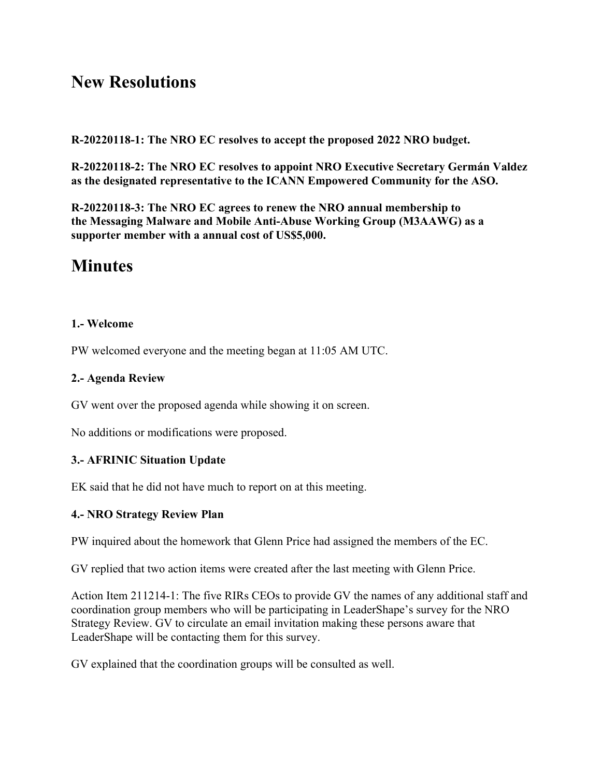# **New Resolutions**

**R-20220118-1: The NRO EC resolves to accept the proposed 2022 NRO budget.**

**R-20220118-2: The NRO EC resolves to appoint NRO Executive Secretary Germán Valdez as the designated representative to the ICANN Empowered Community for the ASO.**

**R-20220118-3: The NRO EC agrees to renew the NRO annual membership to the Messaging Malware and Mobile Anti-Abuse Working Group (M3AAWG) as a supporter member with a annual cost of US\$5,000.**

# **Minutes**

#### **1.- Welcome**

PW welcomed everyone and the meeting began at 11:05 AM UTC.

#### **2.- Agenda Review**

GV went over the proposed agenda while showing it on screen.

No additions or modifications were proposed.

#### **3.- AFRINIC Situation Update**

EK said that he did not have much to report on at this meeting.

#### **4.- NRO Strategy Review Plan**

PW inquired about the homework that Glenn Price had assigned the members of the EC.

GV replied that two action items were created after the last meeting with Glenn Price.

Action Item 211214-1: The five RIRs CEOs to provide GV the names of any additional staff and coordination group members who will be participating in LeaderShape's survey for the NRO Strategy Review. GV to circulate an email invitation making these persons aware that LeaderShape will be contacting them for this survey.

GV explained that the coordination groups will be consulted as well.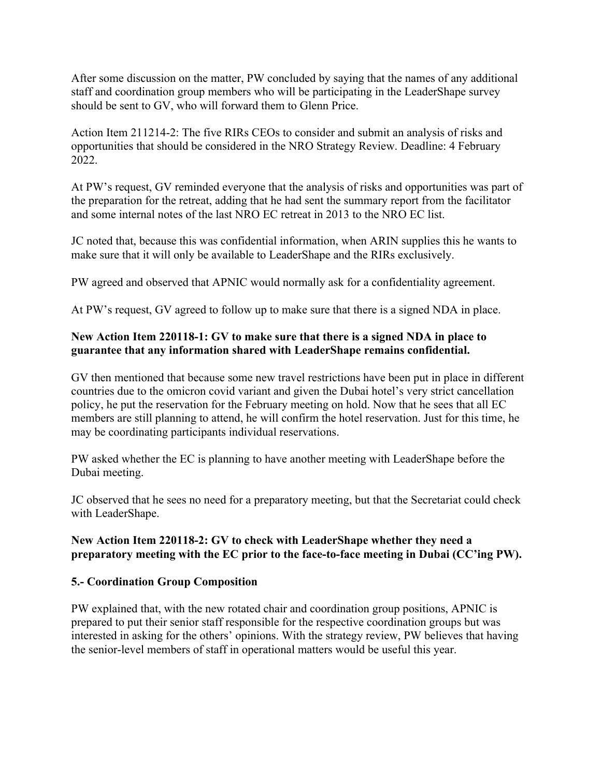After some discussion on the matter, PW concluded by saying that the names of any additional staff and coordination group members who will be participating in the LeaderShape survey should be sent to GV, who will forward them to Glenn Price.

Action Item 211214-2: The five RIRs CEOs to consider and submit an analysis of risks and opportunities that should be considered in the NRO Strategy Review. Deadline: 4 February 2022.

At PW's request, GV reminded everyone that the analysis of risks and opportunities was part of the preparation for the retreat, adding that he had sent the summary report from the facilitator and some internal notes of the last NRO EC retreat in 2013 to the NRO EC list.

JC noted that, because this was confidential information, when ARIN supplies this he wants to make sure that it will only be available to LeaderShape and the RIRs exclusively.

PW agreed and observed that APNIC would normally ask for a confidentiality agreement.

At PW's request, GV agreed to follow up to make sure that there is a signed NDA in place.

#### **New Action Item 220118-1: GV to make sure that there is a signed NDA in place to guarantee that any information shared with LeaderShape remains confidential.**

GV then mentioned that because some new travel restrictions have been put in place in different countries due to the omicron covid variant and given the Dubai hotel's very strict cancellation policy, he put the reservation for the February meeting on hold. Now that he sees that all EC members are still planning to attend, he will confirm the hotel reservation. Just for this time, he may be coordinating participants individual reservations.

PW asked whether the EC is planning to have another meeting with LeaderShape before the Dubai meeting.

JC observed that he sees no need for a preparatory meeting, but that the Secretariat could check with LeaderShape.

#### **New Action Item 220118-2: GV to check with LeaderShape whether they need a preparatory meeting with the EC prior to the face-to-face meeting in Dubai (CC'ing PW).**

#### **5.- Coordination Group Composition**

PW explained that, with the new rotated chair and coordination group positions, APNIC is prepared to put their senior staff responsible for the respective coordination groups but was interested in asking for the others' opinions. With the strategy review, PW believes that having the senior-level members of staff in operational matters would be useful this year.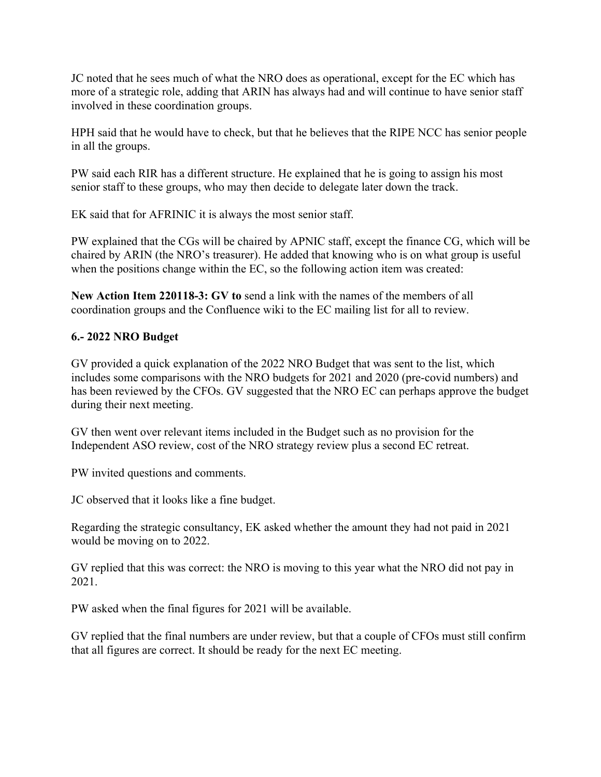JC noted that he sees much of what the NRO does as operational, except for the EC which has more of a strategic role, adding that ARIN has always had and will continue to have senior staff involved in these coordination groups.

HPH said that he would have to check, but that he believes that the RIPE NCC has senior people in all the groups.

PW said each RIR has a different structure. He explained that he is going to assign his most senior staff to these groups, who may then decide to delegate later down the track.

EK said that for AFRINIC it is always the most senior staff.

PW explained that the CGs will be chaired by APNIC staff, except the finance CG, which will be chaired by ARIN (the NRO's treasurer). He added that knowing who is on what group is useful when the positions change within the EC, so the following action item was created:

**New Action Item 220118-3: GV to** send a link with the names of the members of all coordination groups and the Confluence wiki to the EC mailing list for all to review.

#### **6.- 2022 NRO Budget**

GV provided a quick explanation of the 2022 NRO Budget that was sent to the list, which includes some comparisons with the NRO budgets for 2021 and 2020 (pre-covid numbers) and has been reviewed by the CFOs. GV suggested that the NRO EC can perhaps approve the budget during their next meeting.

GV then went over relevant items included in the Budget such as no provision for the Independent ASO review, cost of the NRO strategy review plus a second EC retreat.

PW invited questions and comments.

JC observed that it looks like a fine budget.

Regarding the strategic consultancy, EK asked whether the amount they had not paid in 2021 would be moving on to 2022.

GV replied that this was correct: the NRO is moving to this year what the NRO did not pay in 2021.

PW asked when the final figures for 2021 will be available.

GV replied that the final numbers are under review, but that a couple of CFOs must still confirm that all figures are correct. It should be ready for the next EC meeting.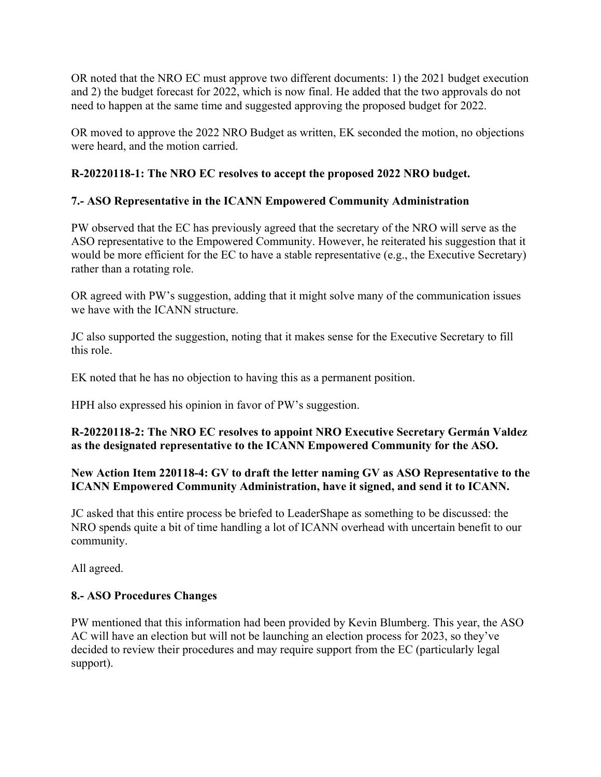OR noted that the NRO EC must approve two different documents: 1) the 2021 budget execution and 2) the budget forecast for 2022, which is now final. He added that the two approvals do not need to happen at the same time and suggested approving the proposed budget for 2022.

OR moved to approve the 2022 NRO Budget as written, EK seconded the motion, no objections were heard, and the motion carried.

# **R-20220118-1: The NRO EC resolves to accept the proposed 2022 NRO budget.**

# **7.- ASO Representative in the ICANN Empowered Community Administration**

PW observed that the EC has previously agreed that the secretary of the NRO will serve as the ASO representative to the Empowered Community. However, he reiterated his suggestion that it would be more efficient for the EC to have a stable representative (e.g., the Executive Secretary) rather than a rotating role.

OR agreed with PW's suggestion, adding that it might solve many of the communication issues we have with the ICANN structure.

JC also supported the suggestion, noting that it makes sense for the Executive Secretary to fill this role.

EK noted that he has no objection to having this as a permanent position.

HPH also expressed his opinion in favor of PW's suggestion.

#### **R-20220118-2: The NRO EC resolves to appoint NRO Executive Secretary Germán Valdez as the designated representative to the ICANN Empowered Community for the ASO.**

#### **New Action Item 220118-4: GV to draft the letter naming GV as ASO Representative to the ICANN Empowered Community Administration, have it signed, and send it to ICANN.**

JC asked that this entire process be briefed to LeaderShape as something to be discussed: the NRO spends quite a bit of time handling a lot of ICANN overhead with uncertain benefit to our community.

All agreed.

# **8.- ASO Procedures Changes**

PW mentioned that this information had been provided by Kevin Blumberg. This year, the ASO AC will have an election but will not be launching an election process for 2023, so they've decided to review their procedures and may require support from the EC (particularly legal support).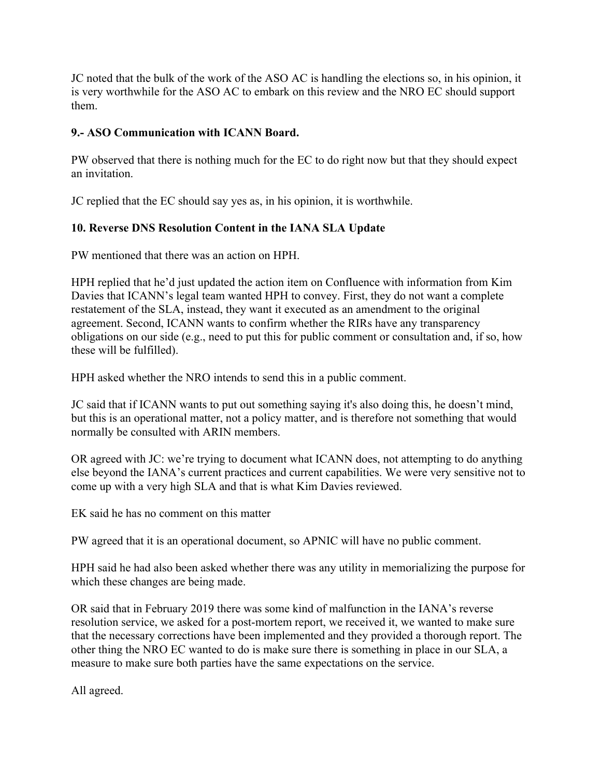JC noted that the bulk of the work of the ASO AC is handling the elections so, in his opinion, it is very worthwhile for the ASO AC to embark on this review and the NRO EC should support them.

#### **9.- ASO Communication with ICANN Board.**

PW observed that there is nothing much for the EC to do right now but that they should expect an invitation.

JC replied that the EC should say yes as, in his opinion, it is worthwhile.

#### **10. Reverse DNS Resolution Content in the IANA SLA Update**

PW mentioned that there was an action on HPH.

HPH replied that he'd just updated the action item on Confluence with information from Kim Davies that ICANN's legal team wanted HPH to convey. First, they do not want a complete restatement of the SLA, instead, they want it executed as an amendment to the original agreement. Second, ICANN wants to confirm whether the RIRs have any transparency obligations on our side (e.g., need to put this for public comment or consultation and, if so, how these will be fulfilled).

HPH asked whether the NRO intends to send this in a public comment.

JC said that if ICANN wants to put out something saying it's also doing this, he doesn't mind, but this is an operational matter, not a policy matter, and is therefore not something that would normally be consulted with ARIN members.

OR agreed with JC: we're trying to document what ICANN does, not attempting to do anything else beyond the IANA's current practices and current capabilities. We were very sensitive not to come up with a very high SLA and that is what Kim Davies reviewed.

EK said he has no comment on this matter

PW agreed that it is an operational document, so APNIC will have no public comment.

HPH said he had also been asked whether there was any utility in memorializing the purpose for which these changes are being made.

OR said that in February 2019 there was some kind of malfunction in the IANA's reverse resolution service, we asked for a post-mortem report, we received it, we wanted to make sure that the necessary corrections have been implemented and they provided a thorough report. The other thing the NRO EC wanted to do is make sure there is something in place in our SLA, a measure to make sure both parties have the same expectations on the service.

All agreed.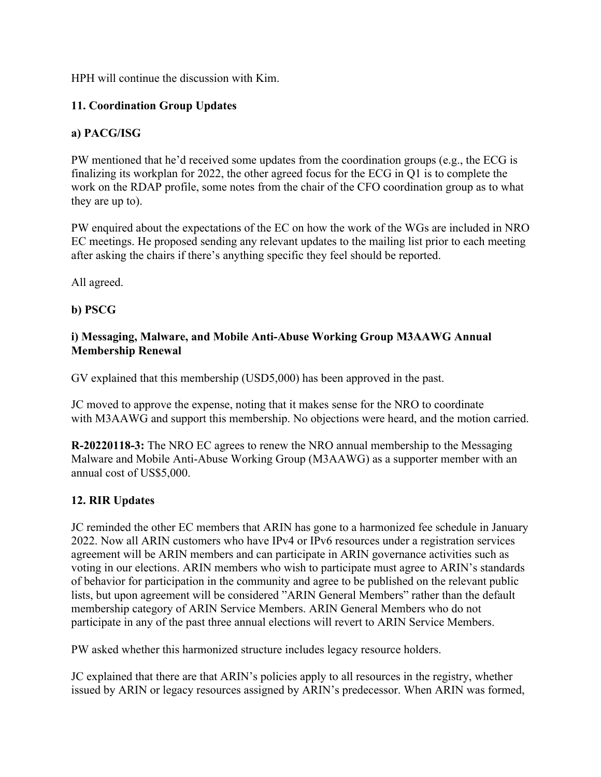HPH will continue the discussion with Kim.

# **11. Coordination Group Updates**

# **a) PACG/ISG**

PW mentioned that he'd received some updates from the coordination groups (e.g., the ECG is finalizing its workplan for 2022, the other agreed focus for the ECG in Q1 is to complete the work on the RDAP profile, some notes from the chair of the CFO coordination group as to what they are up to).

PW enquired about the expectations of the EC on how the work of the WGs are included in NRO EC meetings. He proposed sending any relevant updates to the mailing list prior to each meeting after asking the chairs if there's anything specific they feel should be reported.

All agreed.

#### **b) PSCG**

#### **i) Messaging, Malware, and Mobile Anti-Abuse Working Group M3AAWG Annual Membership Renewal**

GV explained that this membership (USD5,000) has been approved in the past.

JC moved to approve the expense, noting that it makes sense for the NRO to coordinate with M3AAWG and support this membership. No objections were heard, and the motion carried.

**R-20220118-3:** The NRO EC agrees to renew the NRO annual membership to the Messaging Malware and Mobile Anti-Abuse Working Group (M3AAWG) as a supporter member with an annual cost of US\$5,000.

# **12. RIR Updates**

JC reminded the other EC members that ARIN has gone to a harmonized fee schedule in January 2022. Now all ARIN customers who have IPv4 or IPv6 resources under a registration services agreement will be ARIN members and can participate in ARIN governance activities such as voting in our elections. ARIN members who wish to participate must agree to ARIN's standards of behavior for participation in the community and agree to be published on the relevant public lists, but upon agreement will be considered "ARIN General Members" rather than the default membership category of ARIN Service Members. ARIN General Members who do not participate in any of the past three annual elections will revert to ARIN Service Members.

PW asked whether this harmonized structure includes legacy resource holders.

JC explained that there are that ARIN's policies apply to all resources in the registry, whether issued by ARIN or legacy resources assigned by ARIN's predecessor. When ARIN was formed,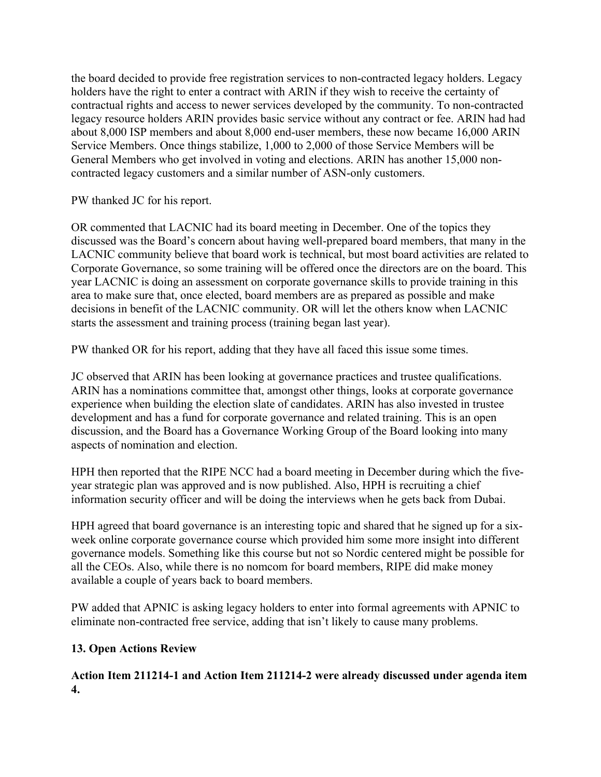the board decided to provide free registration services to non-contracted legacy holders. Legacy holders have the right to enter a contract with ARIN if they wish to receive the certainty of contractual rights and access to newer services developed by the community. To non-contracted legacy resource holders ARIN provides basic service without any contract or fee. ARIN had had about 8,000 ISP members and about 8,000 end-user members, these now became 16,000 ARIN Service Members. Once things stabilize, 1,000 to 2,000 of those Service Members will be General Members who get involved in voting and elections. ARIN has another 15,000 noncontracted legacy customers and a similar number of ASN-only customers.

PW thanked JC for his report.

OR commented that LACNIC had its board meeting in December. One of the topics they discussed was the Board's concern about having well-prepared board members, that many in the LACNIC community believe that board work is technical, but most board activities are related to Corporate Governance, so some training will be offered once the directors are on the board. This year LACNIC is doing an assessment on corporate governance skills to provide training in this area to make sure that, once elected, board members are as prepared as possible and make decisions in benefit of the LACNIC community. OR will let the others know when LACNIC starts the assessment and training process (training began last year).

PW thanked OR for his report, adding that they have all faced this issue some times.

JC observed that ARIN has been looking at governance practices and trustee qualifications. ARIN has a nominations committee that, amongst other things, looks at corporate governance experience when building the election slate of candidates. ARIN has also invested in trustee development and has a fund for corporate governance and related training. This is an open discussion, and the Board has a Governance Working Group of the Board looking into many aspects of nomination and election.

HPH then reported that the RIPE NCC had a board meeting in December during which the fiveyear strategic plan was approved and is now published. Also, HPH is recruiting a chief information security officer and will be doing the interviews when he gets back from Dubai.

HPH agreed that board governance is an interesting topic and shared that he signed up for a sixweek online corporate governance course which provided him some more insight into different governance models. Something like this course but not so Nordic centered might be possible for all the CEOs. Also, while there is no nomcom for board members, RIPE did make money available a couple of years back to board members.

PW added that APNIC is asking legacy holders to enter into formal agreements with APNIC to eliminate non-contracted free service, adding that isn't likely to cause many problems.

#### **13. Open Actions Review**

**Action Item 211214-1 and Action Item 211214-2 were already discussed under agenda item 4.**